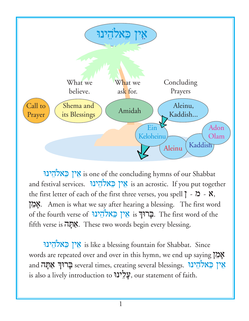

ין באלהינו is one of the concluding hymns of our Shabbat and festival services. אֵין כְאלֹהֻינוּ the first letter of each of the first three verses, you spell  $\restriction$  -  $\mathsf{X}$ , ÷mea;. Amen is what we say after hearing a blessing. The first word of the fourth verse of אֲין בֵאלֹהֶינוּ. The first word of the fifth verse is אֲתָּה. These two words begin every blessing.

ינוי is like a blessing fountain for Shabbat. Since words are repeated over and over in this hymn, we end up saying אֲמֶן and בְּרוּךְ אַמְה several times, creating several blessings. אֵין כֵאלֹהֵינוּ is also a lively introduction to עֲלִינוּ, our statement of faith.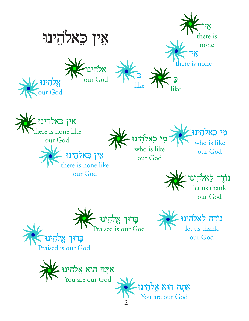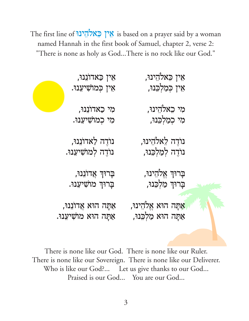The first line of אין באלהינו is based on a prayer said by a woman named Hannah in the first book of Samuel, chapter 2, verse 2: "There is none as holy as God...There is no rock like our God."

| אִין כַּאדוֹנִנוּ,<br>אִין כְּמוֹשִׁיעָנוּ.          | אִין כֵּאלֹהִינוּ,<br>אִין כְּמַלְכֵּנוּ,          |  |
|------------------------------------------------------|----------------------------------------------------|--|
| מִי כַאדוֹנִנוּ,<br>מִי כְמוֹשִׁיעֲנוּ.              | מִי כֵאלֹהֵינוּ,<br>מִי כְמַלְבֵנוּ,               |  |
| נוֹדֶה לַאדוֹנִנוּ,<br>נוֹדֶה לְמוֹשִׁיעֲנוּ.        | נוֹדֶה לֵאלֹהִינוּ,<br>נוֹדֶה לְמַלְכֵּנוּ,        |  |
| בְרוּךְ אֲדוֹנֵנוּ,<br>בְרוּךְ מוֹשִׁיעָנוּ.         | בְרוּךְ אֱלֹהֻינוּ,<br>בְרוּךְ מַלְכֵנוּ,          |  |
| אַתָּה הוּא אֲדוֹנִנוּ,<br>אַתָּה הוּא מוֹשִׁיעָנוּ. | אַתָּה הוּא אֶלֹהֵינוּ,<br>אַתָּה הוּא מַלְכָּנוּ, |  |

There is none like our God. There is none like our Ruler. There is none like our Sovereign. There is none like our Deliverer. Who is like our God?... Let us give thanks to our God... Praised is our God... You are our God...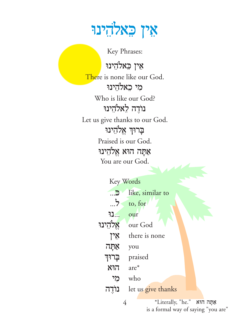#### אֵין כֵאלֹהָינוּ

Key Phrases:

אִין כֵאלֹהֵינוּ There is none like our God. מִי כֵאלֹהִינוּ Who is like our God? נוֹדֶה לָאלֹהֵינוּ Let us give thanks to our God. בְרוּךְ אֱלֹהֵינוּ Praised is our God. אַתָּה הוּא אֱלֹהֵינוּ You are our God.

| Key Words |                    |
|-----------|--------------------|
| <b>D</b>  | like, similar to   |
| 5         | to, for            |
| נו        | our                |
| אלהינו    | our God            |
| אָין      | there is none      |
| אַתֲה     | you                |
| בַרוּך    | praised            |
| הוא       | $are^*$            |
| מי        | who                |
| נוֹדֵה    | let us give thanks |
|           |                    |

\*Literally, "he." אִתְּה הוּא is a formal way of saying "you are"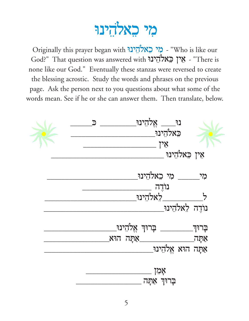### מי כאלהינו

Originally this prayer began with הי כְאלֹהֻינוּ Who is like our God?" That question was answered with "אֵין בָאלֹהֶינוּ - "There is none like our God." Eventually these stanzas were reversed to create the blessing acrostic. Study the words and phrases on the previous page. Ask the person next to you questions about what some of the words mean. See if he or she can answer them. Then translate, below.

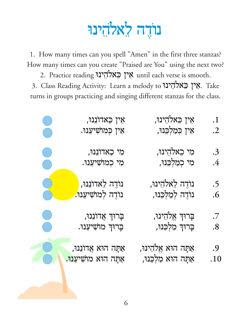## נוֹדֶה לֵאלֹהִינוּ

1. How many times can you spell "Amen" in the first three stanzas? How many times can you create "Praised are You" using the next two? 2. Practice reading אֵין כֵאלֹהֵינוּ each verse is smooth.

3. Class Reading Activity: Learn a melody to אֵין כֵאלֹהִינוּ. Take turns in groups practicing and singing different stanzas for the class.

| <b>STATE</b>                                                                             | אִין כַּאדוֹנִנוּ,              | אִין כִּאלֹהִינוּ,      | $\cdot 1$               |
|------------------------------------------------------------------------------------------|---------------------------------|-------------------------|-------------------------|
|                                                                                          | אִין כְּמוֹשִׁיעָנוּ.           | אִין כְּמַלְכֵּנוּ,     | $\cdot$ .2              |
| $\mathcal{L}(\mathcal{L})$ and $\mathcal{L}(\mathcal{L})$ and $\mathcal{L}(\mathcal{L})$ | מִי כַאדוֹנִנוּ,                | מִי בִאלֹהֵינוּ,        | $\cdot$ 3               |
|                                                                                          | מִי כְמוֹשִׁיעָנוּ.             | מִי כְמַלְכֵּנוּ,       | $\cdot$                 |
|                                                                                          | נוֹדֶה לַאדוֹנִנוּ,             | נוֹרֶה לֵאלֹהִינוּ,     | .5                      |
|                                                                                          | ּנוֹדֶה לְמוֹשִׁיעָנוּ.         | נוֹדֶה לְמַלְכֵנוּ,     | $\overline{\mathbf{0}}$ |
| <b>Service Service</b>                                                                   | בְרוּךְ אֲדוֹנֵנוּ,             | בְרוּךְ אֱלֹהֻינוּ,     | .7                      |
| e di                                                                                     | בְרוּךְ מוֹשִׁיעָנוּ.           | בְרוּךְ מַלְכֵנוּ,      | $\boldsymbol{.8}$       |
|                                                                                          | <u>אַ</u> תָּה הוּא אֲדוֹנִנוּ, | אַתָּה הוּא אֱלֹהֵינוּ, | .9                      |
|                                                                                          | אַתָּה הוּא מוֹשִׁיעָנוּ.       | אַתָּה הוּא מַלְכִּנוּ, | $.10\,$                 |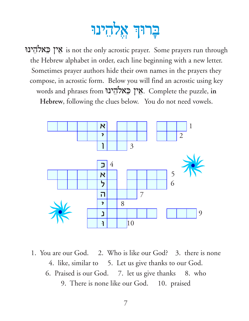# בְרוּךְ אֱלְהֵינוּ

אֵין כֵאלֹהֵינוּ: is not the only acrostic prayer. Some prayers run through the Hebrew alphabet in order, each line beginning with a new letter. Sometimes prayer authors hide their own names in the prayers they compose, in acrostic form. Below you will find an acrostic using key words and phrases from אֵין כֵאלֹהֵינוּ. Complete the puzzle, in **Hebrew**, following the clues below. You do not need vowels.



1. You are our God. 2. Who is like our God? 3. there is none 4. like, similar to 5. Let us give thanks to our God. 6. Praised is our God. 7. let us give thanks 8. who 9. There is none like our God. 10. praised